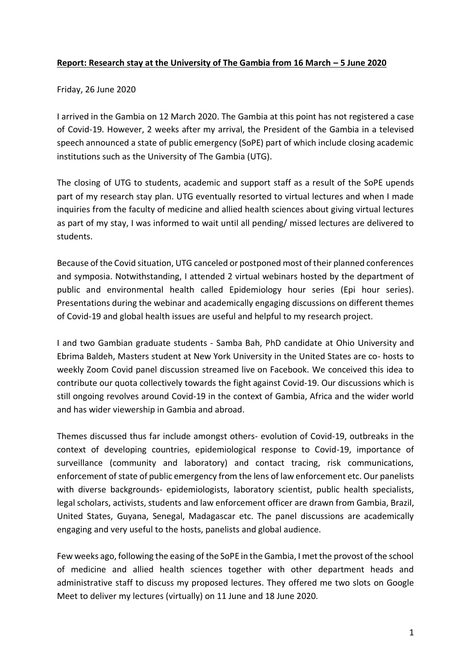## **Report: Research stay at the University of The Gambia from 16 March – 5 June 2020**

## Friday, 26 June 2020

I arrived in the Gambia on 12 March 2020. The Gambia at this point has not registered a case of Covid-19. However, 2 weeks after my arrival, the President of the Gambia in a televised speech announced a state of public emergency (SoPE) part of which include closing academic institutions such as the University of The Gambia (UTG).

The closing of UTG to students, academic and support staff as a result of the SoPE upends part of my research stay plan. UTG eventually resorted to virtual lectures and when I made inquiries from the faculty of medicine and allied health sciences about giving virtual lectures as part of my stay, I was informed to wait until all pending/ missed lectures are delivered to students.

Because of the Covid situation, UTG canceled or postponed most of their planned conferences and symposia. Notwithstanding, I attended 2 virtual webinars hosted by the department of public and environmental health called Epidemiology hour series (Epi hour series). Presentations during the webinar and academically engaging discussions on different themes of Covid-19 and global health issues are useful and helpful to my research project.

I and two Gambian graduate students - Samba Bah, PhD candidate at Ohio University and Ebrima Baldeh, Masters student at New York University in the United States are co- hosts to weekly Zoom Covid panel discussion streamed live on Facebook. We conceived this idea to contribute our quota collectively towards the fight against Covid-19. Our discussions which is still ongoing revolves around Covid-19 in the context of Gambia, Africa and the wider world and has wider viewership in Gambia and abroad.

Themes discussed thus far include amongst others- evolution of Covid-19, outbreaks in the context of developing countries, epidemiological response to Covid-19, importance of surveillance (community and laboratory) and contact tracing, risk communications, enforcement of state of public emergency from the lens of law enforcement etc. Our panelists with diverse backgrounds- epidemiologists, laboratory scientist, public health specialists, legal scholars, activists, students and law enforcement officer are drawn from Gambia, Brazil, United States, Guyana, Senegal, Madagascar etc. The panel discussions are academically engaging and very useful to the hosts, panelists and global audience.

Few weeks ago, following the easing of the SoPE in the Gambia, I met the provost of the school of medicine and allied health sciences together with other department heads and administrative staff to discuss my proposed lectures. They offered me two slots on Google Meet to deliver my lectures (virtually) on 11 June and 18 June 2020.